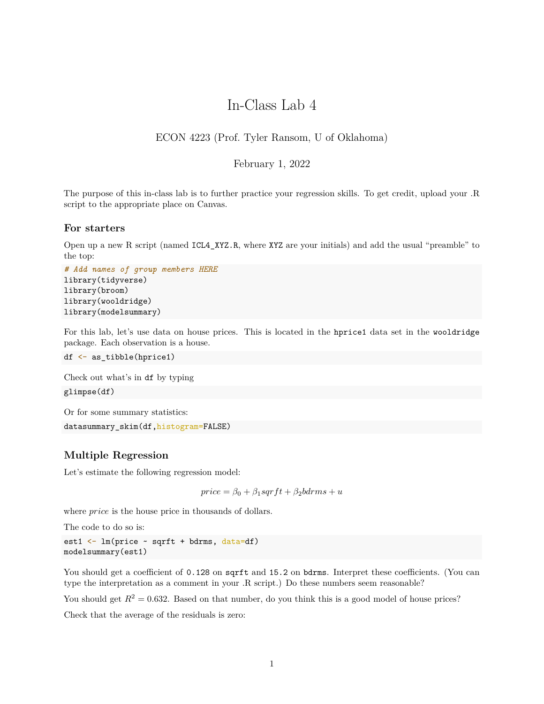# In-Class Lab 4

# ECON 4223 (Prof. Tyler Ransom, U of Oklahoma)

#### February 1, 2022

The purpose of this in-class lab is to further practice your regression skills. To get credit, upload your .R script to the appropriate place on Canvas.

#### **For starters**

Open up a new R script (named ICL4\_XYZ.R, where XYZ are your initials) and add the usual "preamble" to the top:

```
# Add names of group members HERE
library(tidyverse)
library(broom)
library(wooldridge)
library(modelsummary)
```
For this lab, let's use data on house prices. This is located in the hprice1 data set in the wooldridge package. Each observation is a house.

df <- as\_tibble(hprice1)

Check out what's in df by typing glimpse(df)

Or for some summary statistics:

```
datasummary skim(df,histogram=FALSE)
```
#### **Multiple Regression**

Let's estimate the following regression model:

 $price = \beta_0 + \beta_1sqrtft + \beta_2bdrms + u$ 

where *price* is the house price in thousands of dollars.

The code to do so is:

```
est1 <- lm(price ~ sqrft + bdrms, data=df)
modelsummary(est1)
```
You should get a coefficient of 0.128 on sqrft and 15.2 on bdrms. Interpret these coefficients. (You can type the interpretation as a comment in your .R script.) Do these numbers seem reasonable?

You should get  $R^2 = 0.632$ . Based on that number, do you think this is a good model of house prices?

Check that the average of the residuals is zero: